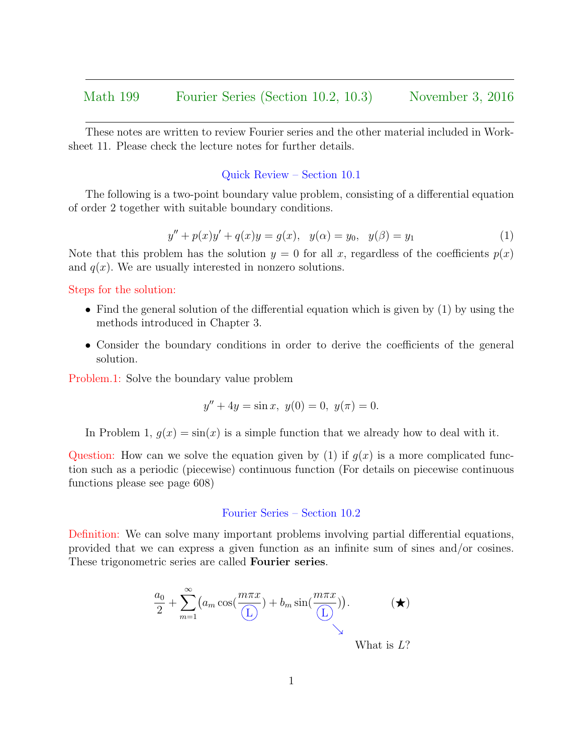These notes are written to review Fourier series and the other material included in Worksheet 11. Please check the lecture notes for further details.

## Quick Review – Section 10.1

The following is a two-point boundary value problem, consisting of a differential equation of order 2 together with suitable boundary conditions.

$$
y'' + p(x)y' + q(x)y = g(x), \quad y(\alpha) = y_0, \quad y(\beta) = y_1 \tag{1}
$$

Note that this problem has the solution  $y = 0$  for all x, regardless of the coefficients  $p(x)$ and  $q(x)$ . We are usually interested in nonzero solutions.

Steps for the solution:

- Find the general solution of the differential equation which is given by (1) by using the methods introduced in Chapter 3.
- Consider the boundary conditions in order to derive the coefficients of the general solution.

Problem.1: Solve the boundary value problem

$$
y'' + 4y = \sin x, \ y(0) = 0, \ y(\pi) = 0.
$$

In Problem 1,  $q(x) = \sin(x)$  is a simple function that we already how to deal with it.

Question: How can we solve the equation given by (1) if  $q(x)$  is a more complicated function such as a periodic (piecewise) continuous function (For details on piecewise continuous functions please see page 608)

## Fourier Series – Section 10.2

Definition: We can solve many important problems involving partial differential equations, provided that we can express a given function as an infinite sum of sines and/or cosines. These trigonometric series are called Fourier series.

$$
\frac{a_0}{2} + \sum_{m=1}^{\infty} \left( a_m \cos(\frac{m\pi x}{L}) + b_m \sin(\frac{m\pi x}{L}) \right).
$$
 (\*)  
What is L?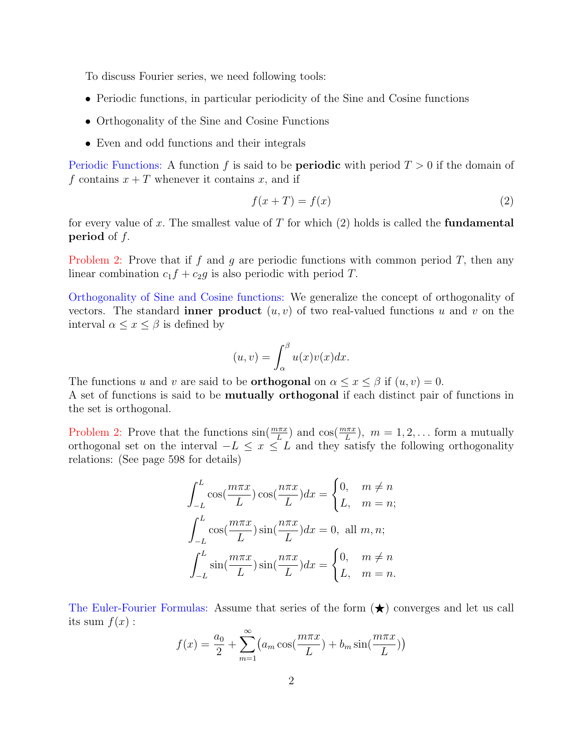To discuss Fourier series, we need following tools:

- Periodic functions, in particular periodicity of the Sine and Cosine functions
- Orthogonality of the Sine and Cosine Functions
- Even and odd functions and their integrals

Periodic Functions: A function f is said to be **periodic** with period  $T > 0$  if the domain of f contains  $x + T$  whenever it contains x, and if

$$
f(x+T) = f(x) \tag{2}
$$

for every value of x. The smallest value of T for which  $(2)$  holds is called the **fundamental period** of  $f$ .

Problem 2: Prove that if f and g are periodic functions with common period T, then any linear combination  $c_1f + c_2g$  is also periodic with period T.

Orthogonality of Sine and Cosine functions: We generalize the concept of orthogonality of vectors. The standard **inner product**  $(u, v)$  of two real-valued functions u and v on the interval  $\alpha \leq x \leq \beta$  is defined by

$$
(u,v) = \int_{\alpha}^{\beta} u(x)v(x)dx.
$$

The functions u and v are said to be **orthogonal** on  $\alpha \leq x \leq \beta$  if  $(u, v) = 0$ . A set of functions is said to be mutually orthogonal if each distinct pair of functions in the set is orthogonal.

Problem 2: Prove that the functions  $sin(\frac{m\pi x}{L})$  and  $cos(\frac{m\pi x}{L})$ ,  $m = 1, 2, ...$  form a mutually orthogonal set on the interval  $-L \leq x \leq L$  and they satisfy the following orthogonality relations: (See page 598 for details)

$$
\int_{-L}^{L} \cos\left(\frac{m\pi x}{L}\right) \cos\left(\frac{n\pi x}{L}\right) dx = \begin{cases} 0, & m \neq n \\ L, & m = n \end{cases}
$$

$$
\int_{-L}^{L} \cos\left(\frac{m\pi x}{L}\right) \sin\left(\frac{n\pi x}{L}\right) dx = 0, \text{ all } m, n;
$$

$$
\int_{-L}^{L} \sin\left(\frac{m\pi x}{L}\right) \sin\left(\frac{n\pi x}{L}\right) dx = \begin{cases} 0, & m \neq n \\ L, & m = n. \end{cases}
$$

The Euler-Fourier Formulas: Assume that series of the form  $(\bigstar)$  converges and let us call its sum  $f(x)$ :

$$
f(x) = \frac{a_0}{2} + \sum_{m=1}^{\infty} (a_m \cos(\frac{m\pi x}{L}) + b_m \sin(\frac{m\pi x}{L}))
$$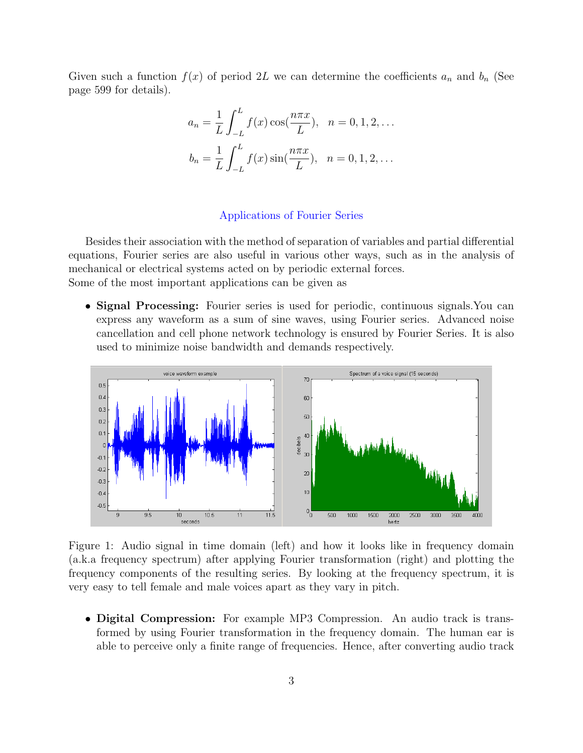Given such a function  $f(x)$  of period 2L we can determine the coefficients  $a_n$  and  $b_n$  (See page 599 for details).

$$
a_n = \frac{1}{L} \int_{-L}^{L} f(x) \cos(\frac{n\pi x}{L}), \quad n = 0, 1, 2, \dots
$$

$$
b_n = \frac{1}{L} \int_{-L}^{L} f(x) \sin(\frac{n\pi x}{L}), \quad n = 0, 1, 2, \dots
$$

## Applications of Fourier Series

Besides their association with the method of separation of variables and partial differential equations, Fourier series are also useful in various other ways, such as in the analysis of mechanical or electrical systems acted on by periodic external forces. Some of the most important applications can be given as

• Signal Processing: Fourier series is used for periodic, continuous signals. You can express any waveform as a sum of sine waves, using Fourier series. Advanced noise cancellation and cell phone network technology is ensured by Fourier Series. It is also used to minimize noise bandwidth and demands respectively.



Figure 1: Audio signal in time domain (left) and how it looks like in frequency domain (a.k.a frequency spectrum) after applying Fourier transformation (right) and plotting the frequency components of the resulting series. By looking at the frequency spectrum, it is very easy to tell female and male voices apart as they vary in pitch.

• Digital Compression: For example MP3 Compression. An audio track is transformed by using Fourier transformation in the frequency domain. The human ear is able to perceive only a finite range of frequencies. Hence, after converting audio track